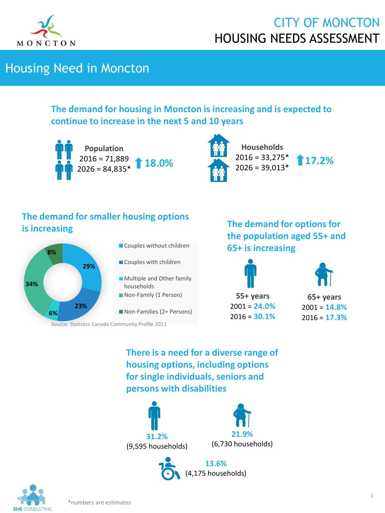

## Housing Need in Moncton

#### **The demand for housing in Moncton is increasing and is expected to continue to increase in the next 5 and 10 years**





**Households**  $2016 = 33,275*$  $2026 = 39,013*$ 

**17.2%**

### **The demand for smaller housing options is increasing**



- Couples without children
- Couples with children
- **Multiple and Other family** households
- **Non-Family (1 Person)**
- Non-Families (2+ Persons)

Source: Statistics Canada Community Profile 2011

**The demand for options for the population aged 55+ and 65+ is increasing**



**65+ years** 2001 = **14.8%** 2016 = **17.3%**

**There is a need for a diverse range of housing options, including options for single individuals, seniors and persons with disabilities**







\*numbers are estimates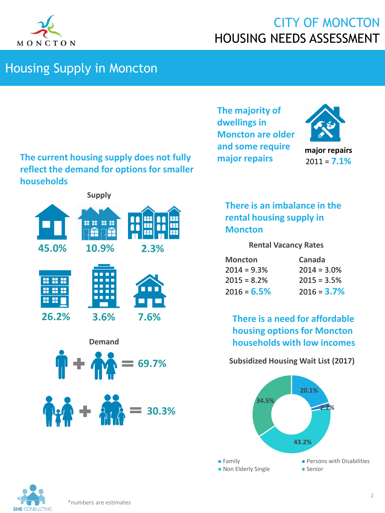

### Housing Supply in Moncton

**The current housing supply does not fully reflect the demand for options for smaller households**

**The majority of dwellings in Moncton are older and some require major repairs**



**major repairs** 2011 = **7.1%**



#### **There is an imbalance in the rental housing supply in Moncton**

#### **Rental Vacancy Rates**

| <b>Moncton</b> | Canada         |
|----------------|----------------|
| $2014 = 9.3%$  | $2014 = 3.0\%$ |
| $2015 = 8.2\%$ | $2015 = 3.5%$  |
| $2016 = 6.5%$  | $2016 = 3.7\%$ |

**There is a need for affordable housing options for Moncton households with low incomes**

#### **Subsidized Housing Wait List (2017)**



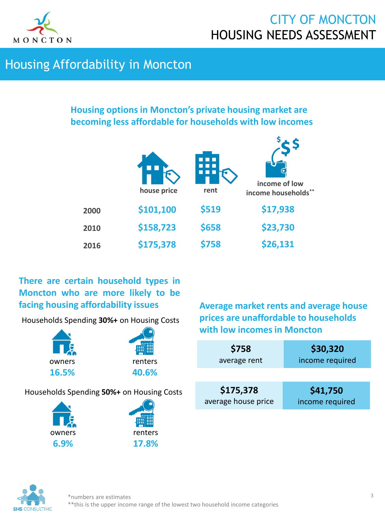

ċ

### Housing Affordability in Moncton

#### **Housing options in Moncton's private housing market are becoming less affordable for households with low incomes**

| \$17,938<br>\$519<br>\$101,100<br>2000 | income of low<br>income households** |
|----------------------------------------|--------------------------------------|
|                                        |                                      |
| \$23,730<br>\$158,723<br>\$658<br>2010 |                                      |
| \$26,131<br>\$175,378<br>\$758<br>2016 |                                      |

#### **There are certain household types in Moncton who are more likely to be facing housing affordability issues**

Households Spending **30%+** on Housing Costs





#### Households Spending **50%+** on Housing Costs



**Average market rents and average house prices are unaffordable to households with low incomes in Moncton**

| \$758               | \$30,320        |
|---------------------|-----------------|
| average rent        | income required |
| \$175,378           | \$41,750        |
| average house price | income required |